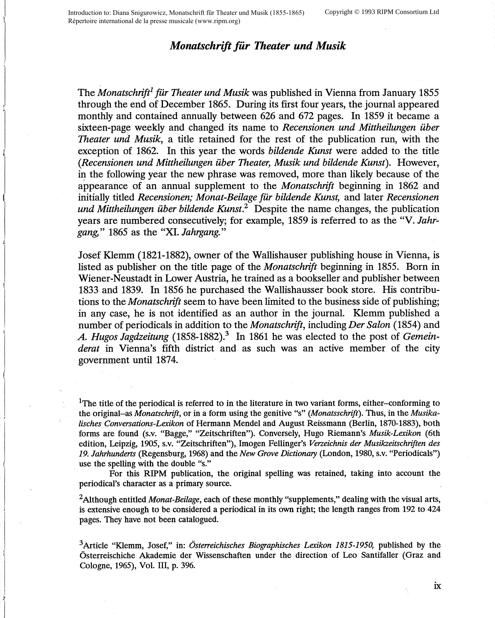Introduction to: Diana Snigurowicz, Monatschrift für Theater und Musik (1855-1865) Copyright © 1993 RIPM Consortium Ltd Répertoire international de la presse musicale (www.ripm.org)

## *Monatschrift fiir Theater und Musik*

The *Monatschrift<sup>1</sup>* für Theater und Musik was published in Vienna from January 1855 through the end of December 1865. During its first four years, the journal appeared monthly and contained annually between 626 and 672 pages. In 1859 it became a sixteen-page weekly and changed its name to *Recensionen und Mittheilungen ilber Theater und Musik,* a title retained for the rest of the publication run, with the exception of 1862. In this year the words *bildende Kunst* were added to the title *(Recensionen und Mittheilungen ilber Theater, Musik und bildende Kunst).* However, in the following year the new phrase was removed, more than likely because of the appearance of an annual supplement to the *Monatschrift* beginning in 1862 and initially titled *Recensionen; Monat-Beilage fiir bildende Kunst,* and later *Recensionen und Mittheilungen ilber bildende Kunst.2* Despite the name changes, the publication years are numbered consecutively; for example, 1859 is referred to as the "V. *Jahrgang,"* 1865 as the "XI. *Jahrgang."* 

Josef Klemm (1821-1882), owner of the Wallishauser publishing house in Vienna, is listed as publisher on the title page of the *Monatschrift* beginning in 1855. Born in Wiener-Neustadt in Lower Austria, he trained as a bookseller and publisher between 1833 and 1839. In 1856 he purchased the Wallishausser book store. His contributions to the *Monatschrift* seem to have been limited to the business side of publishing; in any case, he is not identified as an author in the journal. Klemm published a number of periodicals in addition to the *Monatschrift,* including *Der Salon* (1854) and A. Hugos Jagdzeitung (1858-1882).<sup>3</sup> In 1861 he was elected to the post of *Gemeinderat* in Vienna's fifth district and as such was an active member of the city government until 1874.

<sup>1</sup>The title of the periodical is referred to in the literature in two variant forms, either-conforming to the original-as *Monatschrift,* or in a form using the genitive "s" *(Monatsschrift).* Thus, in the *Musikalisches Conversations-Lexikon* of Hermann Mendel and August Reissmann (Berlin, 1870-1883), both forms are found (s.v. "Bagge," "Zeitschriften"). Conversely, Hugo Riemann's *Musik-Lexikon* (6th edition, Leipzig, 1905, s.v. "Zeitschriften"), Imogen Fellinger's *Verzeichnis der Musikzeitschriften des 19. Jahrhunderts* (Regensburg, 1968) and the *New Grove Dictionary* (London, 1980, s.v. "Periodicals") use the spelling with the double "s."

For this RIPM publication, the original spelling was retained, taking into account the periodical's character as a primary source.

<sup>2</sup>Although entitled *Monat-Beilage,* each of these monthly "supplements," dealing with the visual arts, is extensive enough to be considered a periodical in its own right; the length ranges from 192 to 424 pages. They have not been catalogued.

<sup>3</sup>Article "Klemm, Josef," in: *6sterreichisches Biographisches Lexikon 1815-1950,* published by the Österreischiche Akademie der Wissenschaften under the direction of Leo Santifaller (Graz and Cologne, 1965), Vol. III, p. 396.

1

 $ix$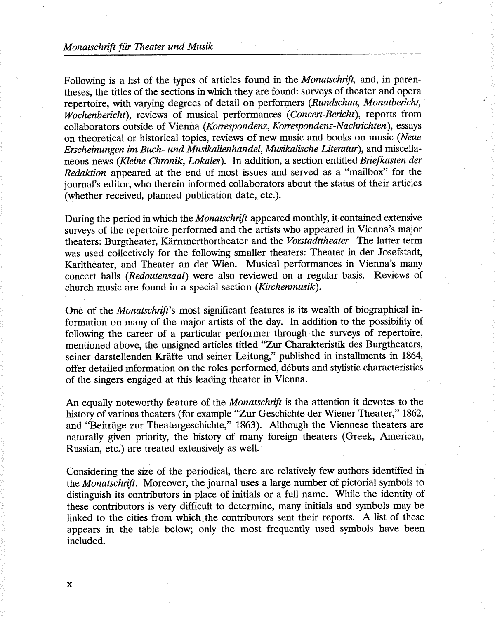Following is a list of the types of articles found in the *Monatschrift,* and, in parentheses, the titles of the sections in which they are found: surveys of theater and opera repertoire, with varying degrees of detail on performers *(Rundschau, Monatbericht, Wochenbericht),* reviews of musical performances ( *Concert-Bericht),* reports from collaborators outside of Vienna *(Korrespondenz, Korrespondenz-Nachrichten* ), essays on theoretical or historical topics, reviews of new music and books on music *(Neue Erscheinungen im Buch- und Musikalienhandel, Musikalische Literatur),* and miscellaneous news *(Kleine Chronik, Lokales* ). In addition, a section entitled *Briefkasten der Redaktion* appeared at the end of most issues and served as a "mailbox" for the journal's editor, who therein informed collaborators about the status of their articles (whether received, planned publication date, etc.).

During the period in which the *Monatschrift* appeared monthly, it contained extensive surveys of the repertoire performed and the artists who appeared in Vienna's major theaters: Burgtheater, Karntnerthortheater and the *Vorstadttheater.* The latter term was used collectively for the following smaller theaters: Theater in der Josefstadt, Karltheater, and Theater an der Wien. Musical performances in Vienna's many concert halls *(Redoutensaal)* were also reviewed on a regular basis. Reviews of church music are found in a special section *(Kirchenmusik).* ·

One of the *Monatschrift's* most significant features is its wealth of biographical information on many of the major artists of the day. In addition to the possibility of following the career of a particular performer through the surveys of repertoire, mentioned above, the unsigned articles titled "Zur Charakteristik des Burgtheaters, seiner darstellenden Krafte und seiner Leitung," published in installments in 1864, offer detailed information on the roles performed, debuts and stylistic characteristics of the singers engaged at this leading theater in Vienna.

An equally noteworthy feature of the *Monatschrift* is the attention it devotes to the history of various theaters (for example "Zur Geschichte der Wiener Theater," 1862, and "Beitrage zur Theatergeschichte," 1863). Although the Viennese theaters are naturally given priority, the history of many foreign theaters (Greek, American, Russian, etc.) are treated extensively as well.

Considering the size of the periodical, there are relatively few authors identified in the *Monatschrift.* Moreover, the journal uses a large number of pictorial symbols to distinguish its contributors in place of initials or a full name. While the identity of these contributors is very difficult to determine, many initials and symbols may be linked to the cities from which. the contributors sent their reports. A list of these appears in the table below; only the most frequently used symbols have been included.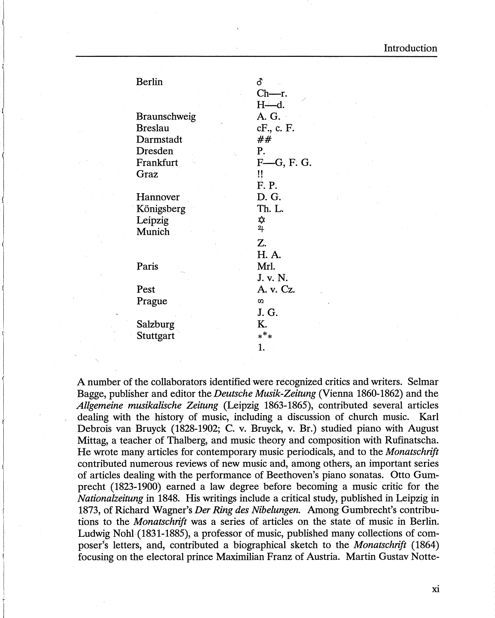| <b>Berlin</b>  | Ճ             |
|----------------|---------------|
|                | $Ch-r.$       |
|                | H—d.          |
| Braunschweig   | A. G. -       |
| <b>Breslau</b> | cF., c. F.    |
| Darmstadt      | ##            |
| Dresden        | P.            |
| Frankfurt      | $F$ —G, F. G. |
| Graz           | !!            |
|                | F. P.         |
| Hannover       | D. G.         |
| Königsberg     | Th. L.        |
| Leipzig        | ✿             |
| Munich         | 21            |
|                | Z.            |
|                | H. A.         |
| Paris          | Mrl.          |
|                | J. v. N.      |
| Pest           | A. v. Cz.     |
| Prague         | $\sigma$      |
|                | J. G.         |
| Salzburg       | K.            |
| Stuttgart      | ***           |
|                | 1.            |

A number of the collaborators identified were recognized critics and writers. Selmar Bagge, publisher and editor the *Deutsche Musik-Zeitung* (Vienna 1860-1862) and the *Allgemeine musikalische Zeitung* (Leipzig 1863-1865), contributed several articles dealing with the history of music, including a discussion of church music. Karl Debrois van Bruyck (1828-1902; C. v. Bruyck, v. Br.) studied piano with August Mittag, a teacher of Thalberg, and music theory and composition with Rufinatscha. He wrote many articles for contemporary music periodicals, and to the *Monatschrift*  contributed numerous reviews of new music and, among others, an important series of articles dealing with the performance of Beethoven's piano sonatas. Otto Gumprecht (1823-1900) earned a law degree before becoming a music critic for the *Nationalzeitung* in 1848. His writings include a critical study, published in Leipzig in 1873, of Richard Wagner's *Der Ring des Nibelungen.* Among Gumbrecht's contributions to the *Monatschrift* was a series of articles on the state of music in Berlin. Ludwig Nohl (1831-1885), a professor of music, published many collections of composer's letters, and, contributed a biographical sketch to the *Monatschrift* (1864) focusing on the electoral prince Maximilian Franz of Austria. Martin Gustav Notte